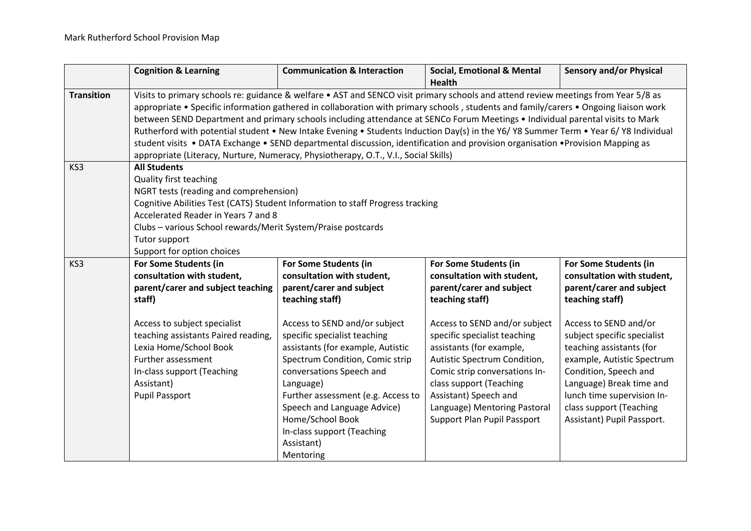|                   | <b>Cognition &amp; Learning</b>                                                                                                      | <b>Communication &amp; Interaction</b> | <b>Social, Emotional &amp; Mental</b> | <b>Sensory and/or Physical</b> |
|-------------------|--------------------------------------------------------------------------------------------------------------------------------------|----------------------------------------|---------------------------------------|--------------------------------|
|                   |                                                                                                                                      |                                        | <b>Health</b>                         |                                |
| <b>Transition</b> | Visits to primary schools re: guidance & welfare • AST and SENCO visit primary schools and attend review meetings from Year 5/8 as   |                                        |                                       |                                |
|                   | appropriate • Specific information gathered in collaboration with primary schools, students and family/carers • Ongoing liaison work |                                        |                                       |                                |
|                   | between SEND Department and primary schools including attendance at SENCo Forum Meetings • Individual parental visits to Mark        |                                        |                                       |                                |
|                   | Rutherford with potential student • New Intake Evening • Students Induction Day(s) in the Y6/ Y8 Summer Term • Year 6/ Y8 Individual |                                        |                                       |                                |
|                   | student visits • DATA Exchange • SEND departmental discussion, identification and provision organisation • Provision Mapping as      |                                        |                                       |                                |
|                   | appropriate (Literacy, Nurture, Numeracy, Physiotherapy, O.T., V.I., Social Skills)                                                  |                                        |                                       |                                |
| KS3               | <b>All Students</b>                                                                                                                  |                                        |                                       |                                |
|                   | <b>Quality first teaching</b>                                                                                                        |                                        |                                       |                                |
|                   | NGRT tests (reading and comprehension)                                                                                               |                                        |                                       |                                |
|                   | Cognitive Abilities Test (CATS) Student Information to staff Progress tracking                                                       |                                        |                                       |                                |
|                   | Accelerated Reader in Years 7 and 8                                                                                                  |                                        |                                       |                                |
|                   | Clubs - various School rewards/Merit System/Praise postcards                                                                         |                                        |                                       |                                |
|                   | Tutor support                                                                                                                        |                                        |                                       |                                |
|                   | Support for option choices                                                                                                           |                                        |                                       |                                |
| KS <sub>3</sub>   | For Some Students (in                                                                                                                | For Some Students (in                  | For Some Students (in                 | For Some Students (in          |
|                   | consultation with student,                                                                                                           | consultation with student,             | consultation with student,            | consultation with student,     |
|                   | parent/carer and subject teaching                                                                                                    | parent/carer and subject               | parent/carer and subject              | parent/carer and subject       |
|                   | staff)                                                                                                                               | teaching staff)                        | teaching staff)                       | teaching staff)                |
|                   |                                                                                                                                      |                                        |                                       |                                |
|                   | Access to subject specialist                                                                                                         | Access to SEND and/or subject          | Access to SEND and/or subject         | Access to SEND and/or          |
|                   | teaching assistants Paired reading,                                                                                                  | specific specialist teaching           | specific specialist teaching          | subject specific specialist    |
|                   | Lexia Home/School Book                                                                                                               | assistants (for example, Autistic      | assistants (for example,              | teaching assistants (for       |
|                   | Further assessment                                                                                                                   | Spectrum Condition, Comic strip        | Autistic Spectrum Condition,          | example, Autistic Spectrum     |
|                   | In-class support (Teaching                                                                                                           | conversations Speech and               | Comic strip conversations In-         | Condition, Speech and          |
|                   | Assistant)                                                                                                                           | Language)                              | class support (Teaching               | Language) Break time and       |
|                   | <b>Pupil Passport</b>                                                                                                                | Further assessment (e.g. Access to     | Assistant) Speech and                 | lunch time supervision In-     |
|                   |                                                                                                                                      | Speech and Language Advice)            | Language) Mentoring Pastoral          | class support (Teaching        |
|                   |                                                                                                                                      | Home/School Book                       | Support Plan Pupil Passport           | Assistant) Pupil Passport.     |
|                   |                                                                                                                                      | In-class support (Teaching             |                                       |                                |
|                   |                                                                                                                                      | Assistant)                             |                                       |                                |
|                   |                                                                                                                                      | Mentoring                              |                                       |                                |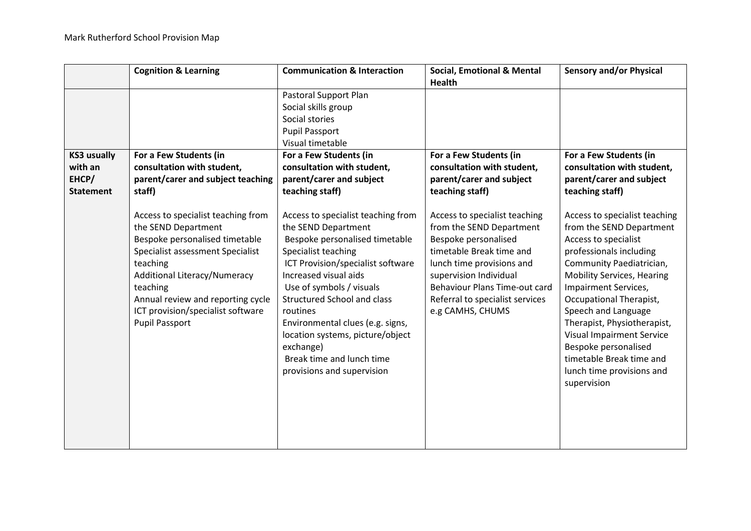|                                                            | <b>Cognition &amp; Learning</b>                                                                                                                                                                                                                                                                   | <b>Communication &amp; Interaction</b>                                                                                                                                                                                                                                                                                                                                                                         | <b>Social, Emotional &amp; Mental</b><br><b>Health</b>                                                                                                                                                                                                       | <b>Sensory and/or Physical</b>                                                                                                                                                                                                                                                                                                                                                                                             |
|------------------------------------------------------------|---------------------------------------------------------------------------------------------------------------------------------------------------------------------------------------------------------------------------------------------------------------------------------------------------|----------------------------------------------------------------------------------------------------------------------------------------------------------------------------------------------------------------------------------------------------------------------------------------------------------------------------------------------------------------------------------------------------------------|--------------------------------------------------------------------------------------------------------------------------------------------------------------------------------------------------------------------------------------------------------------|----------------------------------------------------------------------------------------------------------------------------------------------------------------------------------------------------------------------------------------------------------------------------------------------------------------------------------------------------------------------------------------------------------------------------|
|                                                            |                                                                                                                                                                                                                                                                                                   | Pastoral Support Plan<br>Social skills group<br>Social stories<br><b>Pupil Passport</b><br>Visual timetable                                                                                                                                                                                                                                                                                                    |                                                                                                                                                                                                                                                              |                                                                                                                                                                                                                                                                                                                                                                                                                            |
| <b>KS3 usually</b><br>with an<br>EHCP/<br><b>Statement</b> | For a Few Students (in<br>consultation with student,<br>parent/carer and subject teaching<br>staff)                                                                                                                                                                                               | For a Few Students (in<br>consultation with student,<br>parent/carer and subject<br>teaching staff)                                                                                                                                                                                                                                                                                                            | For a Few Students (in<br>consultation with student,<br>parent/carer and subject<br>teaching staff)                                                                                                                                                          | For a Few Students (in<br>consultation with student,<br>parent/carer and subject<br>teaching staff)                                                                                                                                                                                                                                                                                                                        |
|                                                            | Access to specialist teaching from<br>the SEND Department<br>Bespoke personalised timetable<br>Specialist assessment Specialist<br>teaching<br><b>Additional Literacy/Numeracy</b><br>teaching<br>Annual review and reporting cycle<br>ICT provision/specialist software<br><b>Pupil Passport</b> | Access to specialist teaching from<br>the SEND Department<br>Bespoke personalised timetable<br>Specialist teaching<br>ICT Provision/specialist software<br>Increased visual aids<br>Use of symbols / visuals<br><b>Structured School and class</b><br>routines<br>Environmental clues (e.g. signs,<br>location systems, picture/object<br>exchange)<br>Break time and lunch time<br>provisions and supervision | Access to specialist teaching<br>from the SEND Department<br>Bespoke personalised<br>timetable Break time and<br>lunch time provisions and<br>supervision Individual<br>Behaviour Plans Time-out card<br>Referral to specialist services<br>e.g CAMHS, CHUMS | Access to specialist teaching<br>from the SEND Department<br>Access to specialist<br>professionals including<br>Community Paediatrician,<br><b>Mobility Services, Hearing</b><br>Impairment Services,<br>Occupational Therapist,<br>Speech and Language<br>Therapist, Physiotherapist,<br><b>Visual Impairment Service</b><br>Bespoke personalised<br>timetable Break time and<br>lunch time provisions and<br>supervision |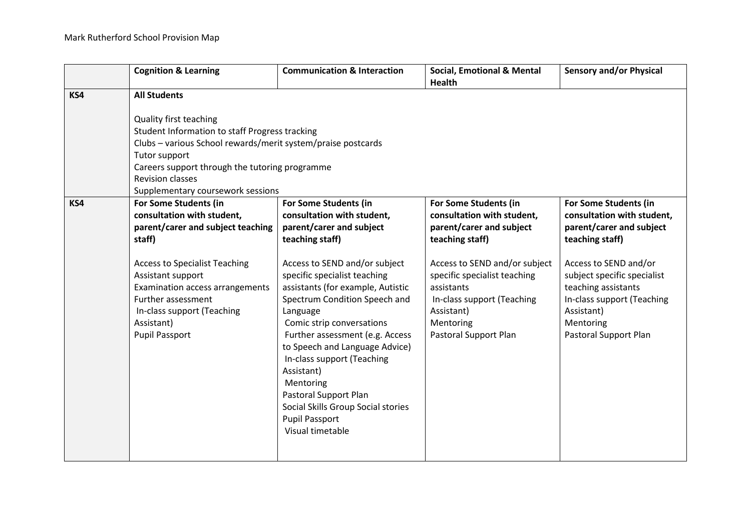|     | <b>Cognition &amp; Learning</b>                                                                                                                                                                                                                                                               | <b>Communication &amp; Interaction</b>                                                                                                                                                                                                                                                                                                                                                                                                                                                                                       | <b>Social, Emotional &amp; Mental</b><br><b>Health</b>                                                                                                                                                                                                              | <b>Sensory and/or Physical</b>                                                                                                                                                                                                                                      |
|-----|-----------------------------------------------------------------------------------------------------------------------------------------------------------------------------------------------------------------------------------------------------------------------------------------------|------------------------------------------------------------------------------------------------------------------------------------------------------------------------------------------------------------------------------------------------------------------------------------------------------------------------------------------------------------------------------------------------------------------------------------------------------------------------------------------------------------------------------|---------------------------------------------------------------------------------------------------------------------------------------------------------------------------------------------------------------------------------------------------------------------|---------------------------------------------------------------------------------------------------------------------------------------------------------------------------------------------------------------------------------------------------------------------|
| KS4 | <b>All Students</b>                                                                                                                                                                                                                                                                           |                                                                                                                                                                                                                                                                                                                                                                                                                                                                                                                              |                                                                                                                                                                                                                                                                     |                                                                                                                                                                                                                                                                     |
|     | <b>Quality first teaching</b><br>Student Information to staff Progress tracking<br>Clubs - various School rewards/merit system/praise postcards<br>Tutor support<br>Careers support through the tutoring programme<br><b>Revision classes</b><br>Supplementary coursework sessions            |                                                                                                                                                                                                                                                                                                                                                                                                                                                                                                                              |                                                                                                                                                                                                                                                                     |                                                                                                                                                                                                                                                                     |
| KS4 | For Some Students (in<br>consultation with student,<br>parent/carer and subject teaching<br>staff)<br><b>Access to Specialist Teaching</b><br>Assistant support<br>Examination access arrangements<br>Further assessment<br>In-class support (Teaching<br>Assistant)<br><b>Pupil Passport</b> | For Some Students (in<br>consultation with student,<br>parent/carer and subject<br>teaching staff)<br>Access to SEND and/or subject<br>specific specialist teaching<br>assistants (for example, Autistic<br>Spectrum Condition Speech and<br>Language<br>Comic strip conversations<br>Further assessment (e.g. Access<br>to Speech and Language Advice)<br>In-class support (Teaching<br>Assistant)<br>Mentoring<br>Pastoral Support Plan<br>Social Skills Group Social stories<br><b>Pupil Passport</b><br>Visual timetable | For Some Students (in<br>consultation with student,<br>parent/carer and subject<br>teaching staff)<br>Access to SEND and/or subject<br>specific specialist teaching<br>assistants<br>In-class support (Teaching<br>Assistant)<br>Mentoring<br>Pastoral Support Plan | For Some Students (in<br>consultation with student,<br>parent/carer and subject<br>teaching staff)<br>Access to SEND and/or<br>subject specific specialist<br>teaching assistants<br>In-class support (Teaching<br>Assistant)<br>Mentoring<br>Pastoral Support Plan |
|     |                                                                                                                                                                                                                                                                                               |                                                                                                                                                                                                                                                                                                                                                                                                                                                                                                                              |                                                                                                                                                                                                                                                                     |                                                                                                                                                                                                                                                                     |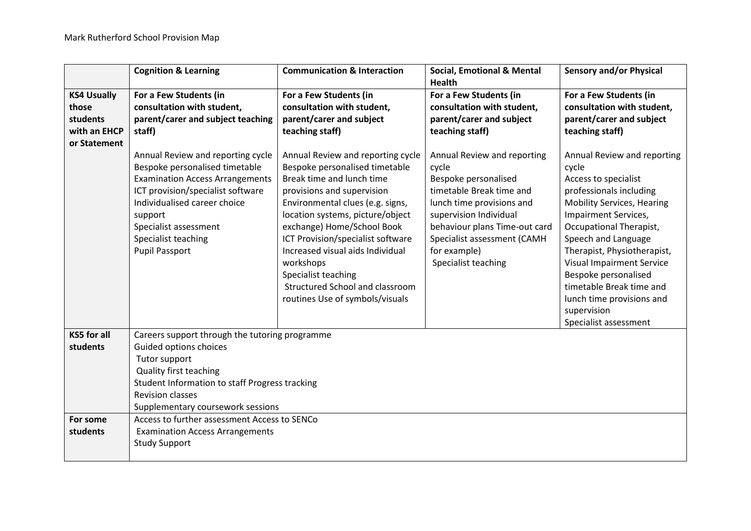|                                                                         | <b>Cognition &amp; Learning</b>                                                                                                                                                                                                                                                                                                                                               | <b>Communication &amp; Interaction</b>                                                                                                                                                                                                                                                                                                                                                                                                                                                                                         | <b>Social, Emotional &amp; Mental</b>                                                                                                                                                                                                                                                                                                                                          | <b>Sensory and/or Physical</b>                                                                                                                                                                                                                                                                                                                                                                                                                                                                            |
|-------------------------------------------------------------------------|-------------------------------------------------------------------------------------------------------------------------------------------------------------------------------------------------------------------------------------------------------------------------------------------------------------------------------------------------------------------------------|--------------------------------------------------------------------------------------------------------------------------------------------------------------------------------------------------------------------------------------------------------------------------------------------------------------------------------------------------------------------------------------------------------------------------------------------------------------------------------------------------------------------------------|--------------------------------------------------------------------------------------------------------------------------------------------------------------------------------------------------------------------------------------------------------------------------------------------------------------------------------------------------------------------------------|-----------------------------------------------------------------------------------------------------------------------------------------------------------------------------------------------------------------------------------------------------------------------------------------------------------------------------------------------------------------------------------------------------------------------------------------------------------------------------------------------------------|
| <b>KS4 Usually</b><br>those<br>students<br>with an EHCP<br>or Statement | For a Few Students (in<br>consultation with student,<br>parent/carer and subject teaching<br>staff)<br>Annual Review and reporting cycle<br>Bespoke personalised timetable<br><b>Examination Access Arrangements</b><br>ICT provision/specialist software<br>Individualised career choice<br>support<br>Specialist assessment<br>Specialist teaching<br><b>Pupil Passport</b> | For a Few Students (in<br>consultation with student,<br>parent/carer and subject<br>teaching staff)<br>Annual Review and reporting cycle<br>Bespoke personalised timetable<br>Break time and lunch time<br>provisions and supervision<br>Environmental clues (e.g. signs,<br>location systems, picture/object<br>exchange) Home/School Book<br>ICT Provision/specialist software<br>Increased visual aids Individual<br>workshops<br>Specialist teaching<br>Structured School and classroom<br>routines Use of symbols/visuals | <b>Health</b><br>For a Few Students (in<br>consultation with student,<br>parent/carer and subject<br>teaching staff)<br>Annual Review and reporting<br>cycle<br>Bespoke personalised<br>timetable Break time and<br>lunch time provisions and<br>supervision Individual<br>behaviour plans Time-out card<br>Specialist assessment (CAMH<br>for example)<br>Specialist teaching | For a Few Students (in<br>consultation with student,<br>parent/carer and subject<br>teaching staff)<br>Annual Review and reporting<br>cycle<br>Access to specialist<br>professionals including<br><b>Mobility Services, Hearing</b><br>Impairment Services,<br>Occupational Therapist,<br>Speech and Language<br>Therapist, Physiotherapist,<br><b>Visual Impairment Service</b><br>Bespoke personalised<br>timetable Break time and<br>lunch time provisions and<br>supervision<br>Specialist assessment |
| <b>KS5 for all</b><br>students                                          | Careers support through the tutoring programme<br>Guided options choices<br>Tutor support<br>Quality first teaching<br>Student Information to staff Progress tracking<br><b>Revision classes</b><br>Supplementary coursework sessions                                                                                                                                         |                                                                                                                                                                                                                                                                                                                                                                                                                                                                                                                                |                                                                                                                                                                                                                                                                                                                                                                                |                                                                                                                                                                                                                                                                                                                                                                                                                                                                                                           |
| For some<br>students                                                    | Access to further assessment Access to SENCo<br><b>Examination Access Arrangements</b><br><b>Study Support</b>                                                                                                                                                                                                                                                                |                                                                                                                                                                                                                                                                                                                                                                                                                                                                                                                                |                                                                                                                                                                                                                                                                                                                                                                                |                                                                                                                                                                                                                                                                                                                                                                                                                                                                                                           |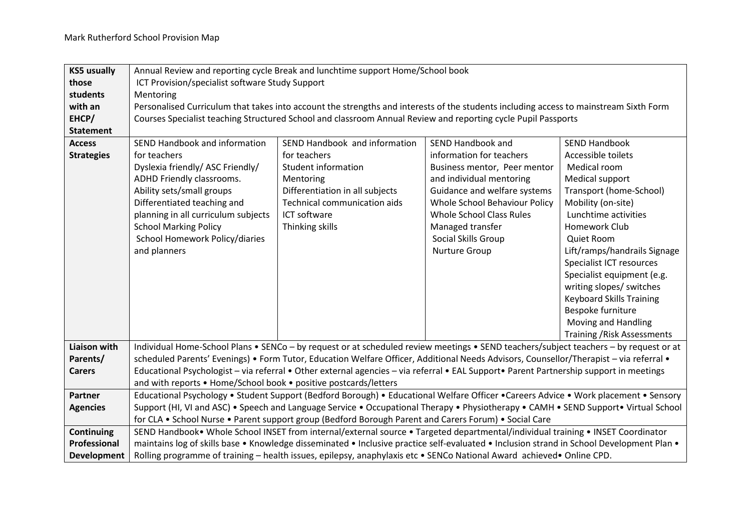| <b>KS5 usually</b>  | Annual Review and reporting cycle Break and lunchtime support Home/School book                                                            |                                                                                                                                        |                                 |                                    |  |
|---------------------|-------------------------------------------------------------------------------------------------------------------------------------------|----------------------------------------------------------------------------------------------------------------------------------------|---------------------------------|------------------------------------|--|
| those               | ICT Provision/specialist software Study Support                                                                                           |                                                                                                                                        |                                 |                                    |  |
| students            | Mentoring                                                                                                                                 |                                                                                                                                        |                                 |                                    |  |
| with an             |                                                                                                                                           | Personalised Curriculum that takes into account the strengths and interests of the students including access to mainstream Sixth Form  |                                 |                                    |  |
| EHCP/               |                                                                                                                                           | Courses Specialist teaching Structured School and classroom Annual Review and reporting cycle Pupil Passports                          |                                 |                                    |  |
| <b>Statement</b>    |                                                                                                                                           |                                                                                                                                        |                                 |                                    |  |
| <b>Access</b>       | SEND Handbook and information                                                                                                             | SEND Handbook and information                                                                                                          | <b>SEND Handbook and</b>        | <b>SEND Handbook</b>               |  |
| <b>Strategies</b>   | for teachers                                                                                                                              | for teachers                                                                                                                           | information for teachers        | Accessible toilets                 |  |
|                     | Dyslexia friendly/ ASC Friendly/                                                                                                          | Student information                                                                                                                    | Business mentor, Peer mentor    | Medical room                       |  |
|                     | ADHD Friendly classrooms.                                                                                                                 | Mentoring                                                                                                                              | and individual mentoring        | Medical support                    |  |
|                     | Ability sets/small groups                                                                                                                 | Differentiation in all subjects                                                                                                        | Guidance and welfare systems    | Transport (home-School)            |  |
|                     | Differentiated teaching and                                                                                                               | Technical communication aids                                                                                                           | Whole School Behaviour Policy   | Mobility (on-site)                 |  |
|                     | planning in all curriculum subjects                                                                                                       | ICT software                                                                                                                           | <b>Whole School Class Rules</b> | Lunchtime activities               |  |
|                     | <b>School Marking Policy</b>                                                                                                              | Thinking skills                                                                                                                        | Managed transfer                | <b>Homework Club</b>               |  |
|                     | School Homework Policy/diaries                                                                                                            |                                                                                                                                        | Social Skills Group             | Quiet Room                         |  |
|                     | and planners                                                                                                                              |                                                                                                                                        | Nurture Group                   | Lift/ramps/handrails Signage       |  |
|                     |                                                                                                                                           |                                                                                                                                        |                                 | Specialist ICT resources           |  |
|                     |                                                                                                                                           |                                                                                                                                        |                                 | Specialist equipment (e.g.         |  |
|                     |                                                                                                                                           |                                                                                                                                        |                                 | writing slopes/ switches           |  |
|                     |                                                                                                                                           |                                                                                                                                        |                                 | <b>Keyboard Skills Training</b>    |  |
|                     |                                                                                                                                           |                                                                                                                                        |                                 | Bespoke furniture                  |  |
|                     |                                                                                                                                           |                                                                                                                                        |                                 | Moving and Handling                |  |
|                     |                                                                                                                                           |                                                                                                                                        |                                 | <b>Training / Risk Assessments</b> |  |
| <b>Liaison with</b> |                                                                                                                                           | Individual Home-School Plans • SENCo - by request or at scheduled review meetings • SEND teachers/subject teachers - by request or at  |                                 |                                    |  |
| Parents/            |                                                                                                                                           | scheduled Parents' Evenings) • Form Tutor, Education Welfare Officer, Additional Needs Advisors, Counsellor/Therapist - via referral • |                                 |                                    |  |
| <b>Carers</b>       | Educational Psychologist - via referral • Other external agencies - via referral • EAL Support• Parent Partnership support in meetings    |                                                                                                                                        |                                 |                                    |  |
|                     | and with reports • Home/School book • positive postcards/letters                                                                          |                                                                                                                                        |                                 |                                    |  |
| Partner             |                                                                                                                                           | Educational Psychology • Student Support (Bedford Borough) • Educational Welfare Officer • Careers Advice • Work placement • Sensory   |                                 |                                    |  |
| <b>Agencies</b>     |                                                                                                                                           | Support (HI, VI and ASC) • Speech and Language Service • Occupational Therapy • Physiotherapy • CAMH • SEND Support• Virtual School    |                                 |                                    |  |
|                     | for CLA . School Nurse . Parent support group (Bedford Borough Parent and Carers Forum) . Social Care                                     |                                                                                                                                        |                                 |                                    |  |
| Continuing          | SEND Handbook . Whole School INSET from internal/external source . Targeted departmental/individual training . INSET Coordinator          |                                                                                                                                        |                                 |                                    |  |
| Professional        | maintains log of skills base • Knowledge disseminated • Inclusive practice self-evaluated • Inclusion strand in School Development Plan • |                                                                                                                                        |                                 |                                    |  |
| Development         | Rolling programme of training - health issues, epilepsy, anaphylaxis etc • SENCo National Award achieved• Online CPD.                     |                                                                                                                                        |                                 |                                    |  |